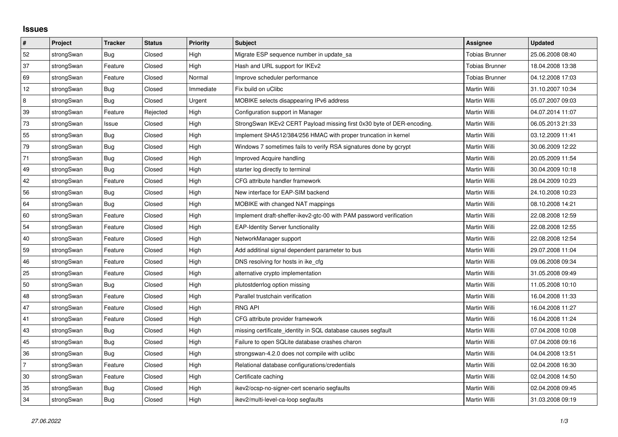## **Issues**

| $\pmb{\#}$ | Project    | <b>Tracker</b> | <b>Status</b> | <b>Priority</b> | <b>Subject</b>                                                         | <b>Assignee</b>       | <b>Updated</b>   |
|------------|------------|----------------|---------------|-----------------|------------------------------------------------------------------------|-----------------------|------------------|
| 52         | strongSwan | Bug            | Closed        | High            | Migrate ESP sequence number in update_sa                               | <b>Tobias Brunner</b> | 25.06.2008 08:40 |
| 37         | strongSwan | Feature        | Closed        | High            | Hash and URL support for IKEv2                                         | <b>Tobias Brunner</b> | 18.04.2008 13:38 |
| 69         | strongSwan | Feature        | Closed        | Normal          | Improve scheduler performance                                          | <b>Tobias Brunner</b> | 04.12.2008 17:03 |
| 12         | strongSwan | <b>Bug</b>     | Closed        | Immediate       | Fix build on uClibc                                                    | Martin Willi          | 31.10.2007 10:34 |
| 8          | strongSwan | Bug            | Closed        | Urgent          | MOBIKE selects disappearing IPv6 address                               | Martin Willi          | 05.07.2007 09:03 |
| 39         | strongSwan | Feature        | Rejected      | High            | Configuration support in Manager                                       | <b>Martin Willi</b>   | 04.07.2014 11:07 |
| 73         | strongSwan | Issue          | Closed        | High            | StrongSwan IKEv2 CERT Payload missing first 0x30 byte of DER-encoding. | Martin Willi          | 06.05.2013 21:33 |
| 55         | strongSwan | <b>Bug</b>     | Closed        | High            | Implement SHA512/384/256 HMAC with proper truncation in kernel         | Martin Willi          | 03.12.2009 11:41 |
| 79         | strongSwan | Bug            | Closed        | High            | Windows 7 sometimes fails to verify RSA signatures done by gcrypt      | Martin Willi          | 30.06.2009 12:22 |
| 71         | strongSwan | Bug            | Closed        | High            | Improved Acquire handling                                              | Martin Willi          | 20.05.2009 11:54 |
| 49         | strongSwan | Bug            | Closed        | High            | starter log directly to terminal                                       | Martin Willi          | 30.04.2009 10:18 |
| 42         | strongSwan | Feature        | Closed        | High            | CFG attribute handler framework                                        | Martin Willi          | 28.04.2009 10:23 |
| 56         | strongSwan | Bug            | Closed        | High            | New interface for EAP-SIM backend                                      | Martin Willi          | 24.10.2008 10:23 |
| 64         | strongSwan | Bug            | Closed        | High            | MOBIKE with changed NAT mappings                                       | Martin Willi          | 08.10.2008 14:21 |
| 60         | strongSwan | Feature        | Closed        | High            | Implement draft-sheffer-ikev2-gtc-00 with PAM password verification    | Martin Willi          | 22.08.2008 12:59 |
| 54         | strongSwan | Feature        | Closed        | High            | <b>EAP-Identity Server functionality</b>                               | Martin Willi          | 22.08.2008 12:55 |
| 40         | strongSwan | Feature        | Closed        | High            | NetworkManager support                                                 | Martin Willi          | 22.08.2008 12:54 |
| 59         | strongSwan | Feature        | Closed        | High            | Add additinal signal dependent parameter to bus                        | Martin Willi          | 29.07.2008 11:04 |
| 46         | strongSwan | Feature        | Closed        | High            | DNS resolving for hosts in ike_cfg                                     | Martin Willi          | 09.06.2008 09:34 |
| 25         | strongSwan | Feature        | Closed        | High            | alternative crypto implementation                                      | Martin Willi          | 31.05.2008 09:49 |
| 50         | strongSwan | Bug            | Closed        | High            | plutostderrlog option missing                                          | Martin Willi          | 11.05.2008 10:10 |
| 48         | strongSwan | Feature        | Closed        | High            | Parallel trustchain verification                                       | Martin Willi          | 16.04.2008 11:33 |
| 47         | strongSwan | Feature        | Closed        | High            | <b>RNG API</b>                                                         | Martin Willi          | 16.04.2008 11:27 |
| 41         | strongSwan | Feature        | Closed        | High            | CFG attribute provider framework                                       | Martin Willi          | 16.04.2008 11:24 |
| 43         | strongSwan | Bug            | Closed        | High            | missing certificate identity in SQL database causes segfault           | Martin Willi          | 07.04.2008 10:08 |
| 45         | strongSwan | Bug            | Closed        | High            | Failure to open SQLite database crashes charon                         | Martin Willi          | 07.04.2008 09:16 |
| 36         | strongSwan | Bug            | Closed        | High            | strongswan-4.2.0 does not compile with uclibc                          | Martin Willi          | 04.04.2008 13:51 |
| 7          | strongSwan | Feature        | Closed        | High            | Relational database configurations/credentials                         | Martin Willi          | 02.04.2008 16:30 |
| 30         | strongSwan | Feature        | Closed        | High            | Certificate caching                                                    | Martin Willi          | 02.04.2008 14:50 |
| 35         | strongSwan | <b>Bug</b>     | Closed        | High            | ikev2/ocsp-no-signer-cert scenario segfaults                           | Martin Willi          | 02.04.2008 09:45 |
| 34         | strongSwan | <b>Bug</b>     | Closed        | High            | ikev2/multi-level-ca-loop segfaults                                    | Martin Willi          | 31.03.2008 09:19 |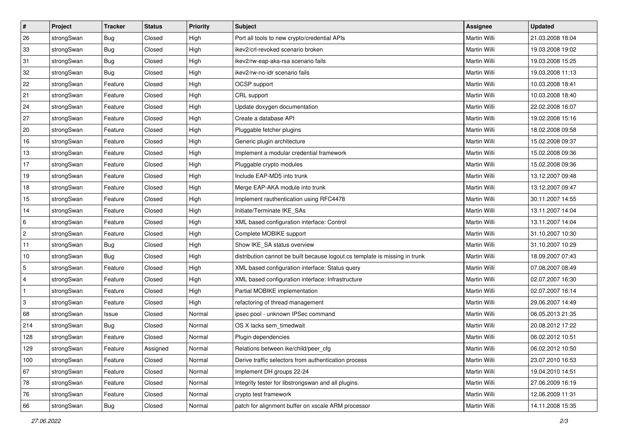| $\pmb{\#}$     | Project    | <b>Tracker</b> | <b>Status</b> | <b>Priority</b> | <b>Subject</b>                                                              | Assignee            | <b>Updated</b>   |
|----------------|------------|----------------|---------------|-----------------|-----------------------------------------------------------------------------|---------------------|------------------|
| 26             | strongSwan | <b>Bug</b>     | Closed        | High            | Port all tools to new crypto/credential APIs                                | Martin Willi        | 21.03.2008 18:04 |
| 33             | strongSwan | Bug            | Closed        | High            | ikev2/crl-revoked scenario broken                                           | Martin Willi        | 19.03.2008 19:02 |
| 31             | strongSwan | Bug            | Closed        | High            | ikev2/rw-eap-aka-rsa scenario fails                                         | Martin Willi        | 19.03.2008 15:25 |
| 32             | strongSwan | Bug            | Closed        | High            | ikev2/rw-no-idr scenario fails                                              | <b>Martin Willi</b> | 19.03.2008 11:13 |
| 22             | strongSwan | Feature        | Closed        | High            | OCSP support                                                                | <b>Martin Willi</b> | 10.03.2008 18:41 |
| 21             | strongSwan | Feature        | Closed        | High            | CRL support                                                                 | Martin Willi        | 10.03.2008 18:40 |
| 24             | strongSwan | Feature        | Closed        | High            | Update doxygen documentation                                                | Martin Willi        | 22.02.2008 16:07 |
| 27             | strongSwan | Feature        | Closed        | High            | Create a database API                                                       | Martin Willi        | 19.02.2008 15:16 |
| 20             | strongSwan | Feature        | Closed        | High            | Pluggable fetcher plugins                                                   | Martin Willi        | 18.02.2008 09:58 |
| 16             | strongSwan | Feature        | Closed        | High            | Generic plugin architecture                                                 | <b>Martin Willi</b> | 15.02.2008 09:37 |
| 13             | strongSwan | Feature        | Closed        | High            | Implement a modular credential framework                                    | Martin Willi        | 15.02.2008 09:36 |
| 17             | strongSwan | Feature        | Closed        | High            | Pluggable crypto modules                                                    | Martin Willi        | 15.02.2008 09:36 |
| 19             | strongSwan | Feature        | Closed        | High            | Include EAP-MD5 into trunk                                                  | <b>Martin Willi</b> | 13.12.2007 09:48 |
| 18             | strongSwan | Feature        | Closed        | High            | Merge EAP-AKA module into trunk                                             | Martin Willi        | 13.12.2007 09:47 |
| 15             | strongSwan | Feature        | Closed        | High            | Implement rauthentication using RFC4478                                     | <b>Martin Willi</b> | 30.11.2007 14:55 |
| 14             | strongSwan | Feature        | Closed        | High            | Initiate/Terminate IKE_SAs                                                  | Martin Willi        | 13.11.2007 14:04 |
| 6              | strongSwan | Feature        | Closed        | High            | XML based configuration interface: Control                                  | Martin Willi        | 13.11.2007 14:04 |
| 2              | strongSwan | Feature        | Closed        | High            | Complete MOBIKE support                                                     | Martin Willi        | 31.10.2007 10:30 |
| 11             | strongSwan | <b>Bug</b>     | Closed        | High            | Show IKE_SA status overview                                                 | Martin Willi        | 31.10.2007 10:29 |
| $10$           | strongSwan | <b>Bug</b>     | Closed        | High            | distribution cannot be built because logout.cs template is missing in trunk | Martin Willi        | 18.09.2007 07:43 |
| $\sqrt{5}$     | strongSwan | Feature        | Closed        | High            | XML based configuration interface: Status query                             | Martin Willi        | 07.08.2007 08:49 |
| $\overline{4}$ | strongSwan | Feature        | Closed        | High            | XML based configuration interface: Infrastructure                           | Martin Willi        | 02.07.2007 16:30 |
| $\vert$ 1      | strongSwan | Feature        | Closed        | High            | Partial MOBIKE implementation                                               | <b>Martin Willi</b> | 02.07.2007 16:14 |
| 3              | strongSwan | Feature        | Closed        | High            | refactoring of thread management                                            | Martin Willi        | 29.06.2007 14:49 |
| 68             | strongSwan | Issue          | Closed        | Normal          | ipsec pool - unknown IPSec command                                          | Martin Willi        | 06.05.2013 21:35 |
| 214            | strongSwan | Bug            | Closed        | Normal          | OS X lacks sem_timedwait                                                    | <b>Martin Willi</b> | 20.08.2012 17:22 |
| 128            | strongSwan | Feature        | Closed        | Normal          | Plugin dependencies                                                         | Martin Willi        | 06.02.2012 10:51 |
| 129            | strongSwan | Feature        | Assigned      | Normal          | Relations between ike/child/peer_cfg                                        | Martin Willi        | 06.02.2012 10:50 |
| 100            | strongSwan | Feature        | Closed        | Normal          | Derive traffic selectors from authentication process                        | Martin Willi        | 23.07.2010 16:53 |
| 67             | strongSwan | Feature        | Closed        | Normal          | Implement DH groups 22-24                                                   | Martin Willi        | 19.04.2010 14:51 |
| 78             | strongSwan | Feature        | Closed        | Normal          | Integrity tester for libstrongswan and all plugins.                         | Martin Willi        | 27.06.2009 16:19 |
| 76             | strongSwan | Feature        | Closed        | Normal          | crypto test framework                                                       | Martin Willi        | 12.06.2009 11:31 |
| 66             | strongSwan | <b>Bug</b>     | Closed        | Normal          | patch for alignment buffer on xscale ARM processor                          | Martin Willi        | 14.11.2008 15:35 |